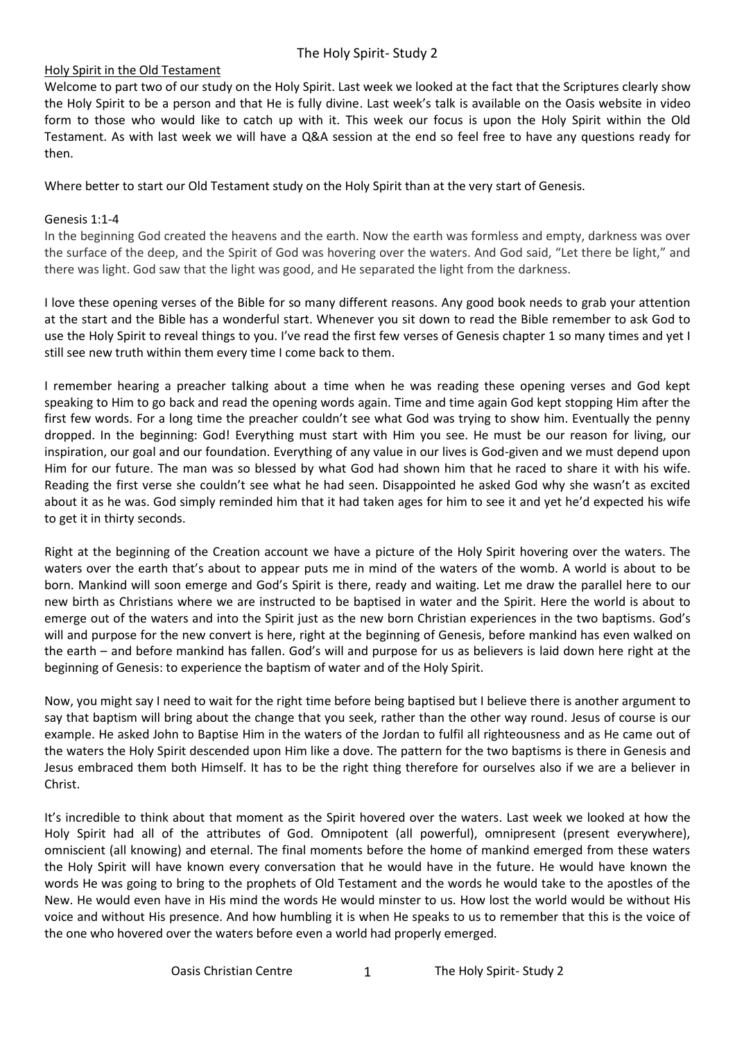#### Holy Spirit in the Old Testament

Welcome to part two of our study on the Holy Spirit. Last week we looked at the fact that the Scriptures clearly show the Holy Spirit to be a person and that He is fully divine. Last week's talk is available on the Oasis website in video form to those who would like to catch up with it. This week our focus is upon the Holy Spirit within the Old Testament. As with last week we will have a Q&A session at the end so feel free to have any questions ready for then.

Where better to start our Old Testament study on the Holy Spirit than at the very start of Genesis.

#### Genesis 1:1-4

In the beginning God created the heavens and the earth. Now the earth was formless and empty, darkness was over the surface of the deep, and the Spirit of God was hovering over the waters. And God said, "Let there be light," and there was light. God saw that the light was good, and He separated the light from the darkness.

I love these opening verses of the Bible for so many different reasons. Any good book needs to grab your attention at the start and the Bible has a wonderful start. Whenever you sit down to read the Bible remember to ask God to use the Holy Spirit to reveal things to you. I've read the first few verses of Genesis chapter 1 so many times and yet I still see new truth within them every time I come back to them.

I remember hearing a preacher talking about a time when he was reading these opening verses and God kept speaking to Him to go back and read the opening words again. Time and time again God kept stopping Him after the first few words. For a long time the preacher couldn't see what God was trying to show him. Eventually the penny dropped. In the beginning: God! Everything must start with Him you see. He must be our reason for living, our inspiration, our goal and our foundation. Everything of any value in our lives is God-given and we must depend upon Him for our future. The man was so blessed by what God had shown him that he raced to share it with his wife. Reading the first verse she couldn't see what he had seen. Disappointed he asked God why she wasn't as excited about it as he was. God simply reminded him that it had taken ages for him to see it and yet he'd expected his wife to get it in thirty seconds.

Right at the beginning of the Creation account we have a picture of the Holy Spirit hovering over the waters. The waters over the earth that's about to appear puts me in mind of the waters of the womb. A world is about to be born. Mankind will soon emerge and God's Spirit is there, ready and waiting. Let me draw the parallel here to our new birth as Christians where we are instructed to be baptised in water and the Spirit. Here the world is about to emerge out of the waters and into the Spirit just as the new born Christian experiences in the two baptisms. God's will and purpose for the new convert is here, right at the beginning of Genesis, before mankind has even walked on the earth – and before mankind has fallen. God's will and purpose for us as believers is laid down here right at the beginning of Genesis: to experience the baptism of water and of the Holy Spirit.

Now, you might say I need to wait for the right time before being baptised but I believe there is another argument to say that baptism will bring about the change that you seek, rather than the other way round. Jesus of course is our example. He asked John to Baptise Him in the waters of the Jordan to fulfil all righteousness and as He came out of the waters the Holy Spirit descended upon Him like a dove. The pattern for the two baptisms is there in Genesis and Jesus embraced them both Himself. It has to be the right thing therefore for ourselves also if we are a believer in Christ.

It's incredible to think about that moment as the Spirit hovered over the waters. Last week we looked at how the Holy Spirit had all of the attributes of God. Omnipotent (all powerful), omnipresent (present everywhere), omniscient (all knowing) and eternal. The final moments before the home of mankind emerged from these waters the Holy Spirit will have known every conversation that he would have in the future. He would have known the words He was going to bring to the prophets of Old Testament and the words he would take to the apostles of the New. He would even have in His mind the words He would minster to us. How lost the world would be without His voice and without His presence. And how humbling it is when He speaks to us to remember that this is the voice of the one who hovered over the waters before even a world had properly emerged.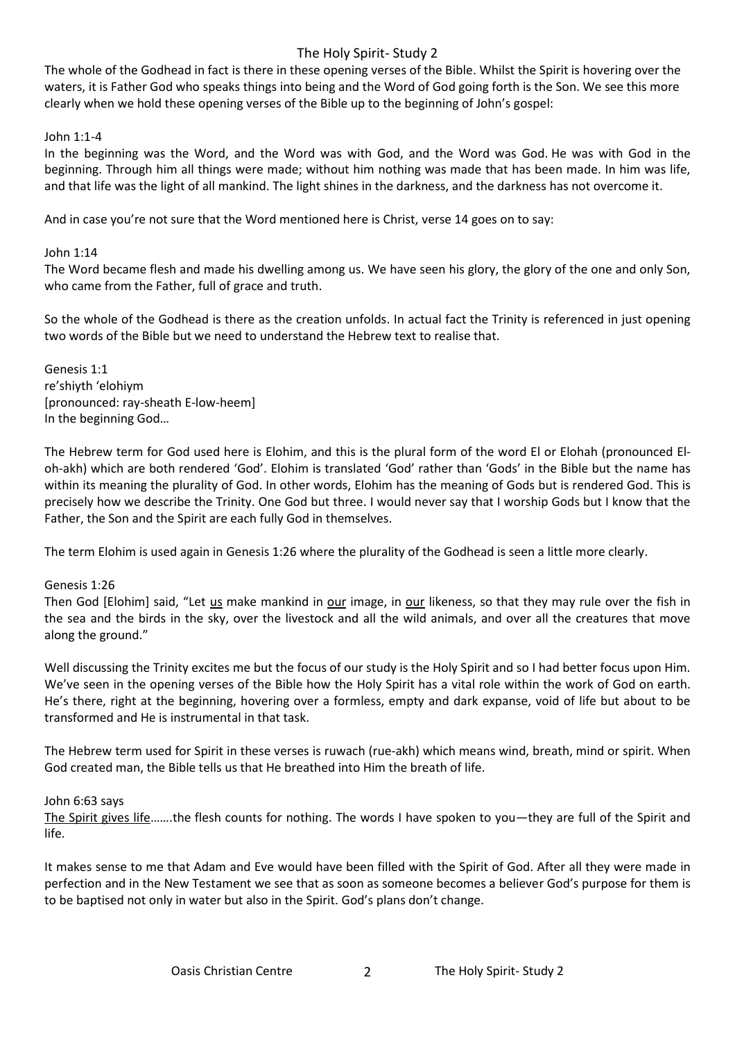The whole of the Godhead in fact is there in these opening verses of the Bible. Whilst the Spirit is hovering over the waters, it is Father God who speaks things into being and the Word of God going forth is the Son. We see this more clearly when we hold these opening verses of the Bible up to the beginning of John's gospel:

### John 1:1-4

In the beginning was the Word, and the Word was with God, and the Word was God. He was with God in the beginning. Through him all things were made; without him nothing was made that has been made. In him was life, and that life was the light of all mankind. The light shines in the darkness, and the darkness has not overcome it.

And in case you're not sure that the Word mentioned here is Christ, verse 14 goes on to say:

### John 1:14

The Word became flesh and made his dwelling among us. We have seen his glory, the glory of the one and only Son, who came from the Father, full of grace and truth.

So the whole of the Godhead is there as the creation unfolds. In actual fact the Trinity is referenced in just opening two words of the Bible but we need to understand the Hebrew text to realise that.

Genesis 1:1 re'shiyth 'elohiym [pronounced: ray-sheath E-low-heem] In the beginning God…

The Hebrew term for God used here is Elohim, and this is the plural form of the word El or Elohah (pronounced Eloh-akh) which are both rendered 'God'. Elohim is translated 'God' rather than 'Gods' in the Bible but the name has within its meaning the plurality of God. In other words, Elohim has the meaning of Gods but is rendered God. This is precisely how we describe the Trinity. One God but three. I would never say that I worship Gods but I know that the Father, the Son and the Spirit are each fully God in themselves.

The term Elohim is used again in Genesis 1:26 where the plurality of the Godhead is seen a little more clearly.

# Genesis 1:26

Then God [Elohim] said, "Let us make mankind in our image, in our likeness, so that they may rule over the fish in the sea and the birds in the sky, over the livestock and all the wild animals, and over all the creatures that move along the ground."

Well discussing the Trinity excites me but the focus of our study is the Holy Spirit and so I had better focus upon Him. We've seen in the opening verses of the Bible how the Holy Spirit has a vital role within the work of God on earth. He's there, right at the beginning, hovering over a formless, empty and dark expanse, void of life but about to be transformed and He is instrumental in that task.

The Hebrew term used for Spirit in these verses is ruwach (rue-akh) which means wind, breath, mind or spirit. When God created man, the Bible tells us that He breathed into Him the breath of life.

#### John 6:63 says

The Spirit gives life…….the flesh counts for nothing. The words I have spoken to you—they are full of the Spirit and life.

It makes sense to me that Adam and Eve would have been filled with the Spirit of God. After all they were made in perfection and in the New Testament we see that as soon as someone becomes a believer God's purpose for them is to be baptised not only in water but also in the Spirit. God's plans don't change.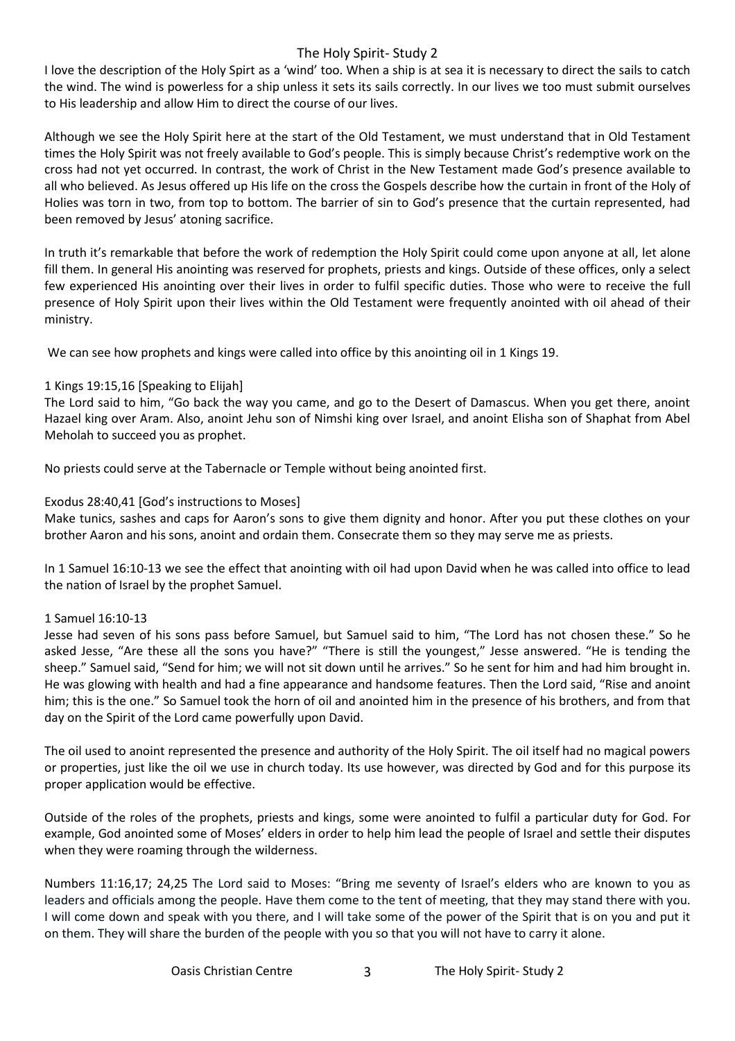I love the description of the Holy Spirt as a 'wind' too. When a ship is at sea it is necessary to direct the sails to catch the wind. The wind is powerless for a ship unless it sets its sails correctly. In our lives we too must submit ourselves to His leadership and allow Him to direct the course of our lives.

Although we see the Holy Spirit here at the start of the Old Testament, we must understand that in Old Testament times the Holy Spirit was not freely available to God's people. This is simply because Christ's redemptive work on the cross had not yet occurred. In contrast, the work of Christ in the New Testament made God's presence available to all who believed. As Jesus offered up His life on the cross the Gospels describe how the curtain in front of the Holy of Holies was torn in two, from top to bottom. The barrier of sin to God's presence that the curtain represented, had been removed by Jesus' atoning sacrifice.

In truth it's remarkable that before the work of redemption the Holy Spirit could come upon anyone at all, let alone fill them. In general His anointing was reserved for prophets, priests and kings. Outside of these offices, only a select few experienced His anointing over their lives in order to fulfil specific duties. Those who were to receive the full presence of Holy Spirit upon their lives within the Old Testament were frequently anointed with oil ahead of their ministry.

We can see how prophets and kings were called into office by this anointing oil in 1 Kings 19.

# 1 Kings 19:15,16 [Speaking to Elijah]

The Lord said to him, "Go back the way you came, and go to the Desert of Damascus. When you get there, anoint Hazael king over Aram. Also, anoint Jehu son of Nimshi king over Israel, and anoint Elisha son of Shaphat from Abel Meholah to succeed you as prophet.

No priests could serve at the Tabernacle or Temple without being anointed first.

#### Exodus 28:40,41 [God's instructions to Moses]

Make tunics, sashes and caps for Aaron's sons to give them dignity and honor. After you put these clothes on your brother Aaron and his sons, anoint and ordain them. Consecrate them so they may serve me as priests.

In 1 Samuel 16:10-13 we see the effect that anointing with oil had upon David when he was called into office to lead the nation of Israel by the prophet Samuel.

# 1 Samuel 16:10-13

Jesse had seven of his sons pass before Samuel, but Samuel said to him, "The Lord has not chosen these." So he asked Jesse, "Are these all the sons you have?" "There is still the youngest," Jesse answered. "He is tending the sheep." Samuel said, "Send for him; we will not sit down until he arrives." So he sent for him and had him brought in. He was glowing with health and had a fine appearance and handsome features. Then the Lord said, "Rise and anoint him; this is the one." So Samuel took the horn of oil and anointed him in the presence of his brothers, and from that day on the Spirit of the Lord came powerfully upon David.

The oil used to anoint represented the presence and authority of the Holy Spirit. The oil itself had no magical powers or properties, just like the oil we use in church today. Its use however, was directed by God and for this purpose its proper application would be effective.

Outside of the roles of the prophets, priests and kings, some were anointed to fulfil a particular duty for God. For example, God anointed some of Moses' elders in order to help him lead the people of Israel and settle their disputes when they were roaming through the wilderness.

Numbers 11:16,17; 24,25 The Lord said to Moses: "Bring me seventy of Israel's elders who are known to you as leaders and officials among the people. Have them come to the tent of meeting, that they may stand there with you. I will come down and speak with you there, and I will take some of the power of the Spirit that is on you and put it on them. They will share the burden of the people with you so that you will not have to carry it alone.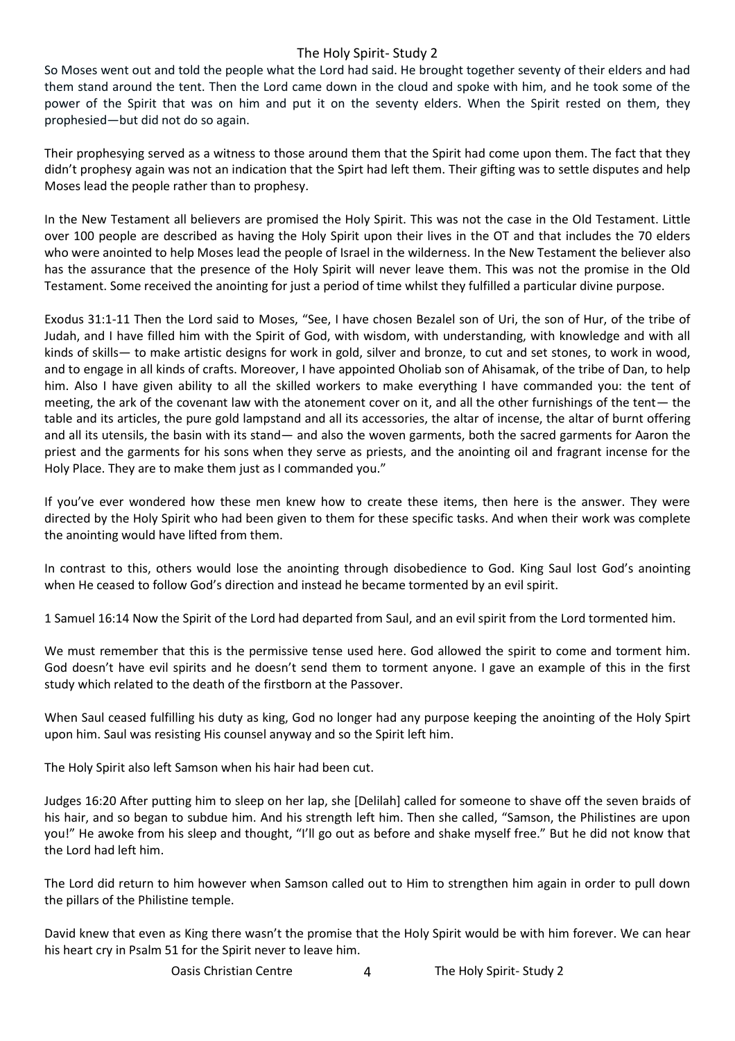So Moses went out and told the people what the Lord had said. He brought together seventy of their elders and had them stand around the tent. Then the Lord came down in the cloud and spoke with him, and he took some of the power of the Spirit that was on him and put it on the seventy elders. When the Spirit rested on them, they prophesied—but did not do so again.

Their prophesying served as a witness to those around them that the Spirit had come upon them. The fact that they didn't prophesy again was not an indication that the Spirt had left them. Their gifting was to settle disputes and help Moses lead the people rather than to prophesy.

In the New Testament all believers are promised the Holy Spirit. This was not the case in the Old Testament. Little over 100 people are described as having the Holy Spirit upon their lives in the OT and that includes the 70 elders who were anointed to help Moses lead the people of Israel in the wilderness. In the New Testament the believer also has the assurance that the presence of the Holy Spirit will never leave them. This was not the promise in the Old Testament. Some received the anointing for just a period of time whilst they fulfilled a particular divine purpose.

Exodus 31:1-11 Then the Lord said to Moses, "See, I have chosen Bezalel son of Uri, the son of Hur, of the tribe of Judah, and I have filled him with the Spirit of God, with wisdom, with understanding, with knowledge and with all kinds of skills— to make artistic designs for work in gold, silver and bronze, to cut and set stones, to work in wood, and to engage in all kinds of crafts. Moreover, I have appointed Oholiab son of Ahisamak, of the tribe of Dan, to help him. Also I have given ability to all the skilled workers to make everything I have commanded you: the tent of meeting, the ark of the covenant law with the atonement cover on it, and all the other furnishings of the tent— the table and its articles, the pure gold lampstand and all its accessories, the altar of incense, the altar of burnt offering and all its utensils, the basin with its stand— and also the woven garments, both the sacred garments for Aaron the priest and the garments for his sons when they serve as priests, and the anointing oil and fragrant incense for the Holy Place. They are to make them just as I commanded you."

If you've ever wondered how these men knew how to create these items, then here is the answer. They were directed by the Holy Spirit who had been given to them for these specific tasks. And when their work was complete the anointing would have lifted from them.

In contrast to this, others would lose the anointing through disobedience to God. King Saul lost God's anointing when He ceased to follow God's direction and instead he became tormented by an evil spirit.

1 Samuel 16:14 Now the Spirit of the Lord had departed from Saul, and an evil spirit from the Lord tormented him.

We must remember that this is the permissive tense used here. God allowed the spirit to come and torment him. God doesn't have evil spirits and he doesn't send them to torment anyone. I gave an example of this in the first study which related to the death of the firstborn at the Passover.

When Saul ceased fulfilling his duty as king, God no longer had any purpose keeping the anointing of the Holy Spirt upon him. Saul was resisting His counsel anyway and so the Spirit left him.

The Holy Spirit also left Samson when his hair had been cut.

Judges 16:20 After putting him to sleep on her lap, she [Delilah] called for someone to shave off the seven braids of his hair, and so began to subdue him. And his strength left him. Then she called, "Samson, the Philistines are upon you!" He awoke from his sleep and thought, "I'll go out as before and shake myself free." But he did not know that the Lord had left him.

The Lord did return to him however when Samson called out to Him to strengthen him again in order to pull down the pillars of the Philistine temple.

David knew that even as King there wasn't the promise that the Holy Spirit would be with him forever. We can hear his heart cry in Psalm 51 for the Spirit never to leave him.

Oasis Christian Centre 4 The Holy Spirit- Study 2